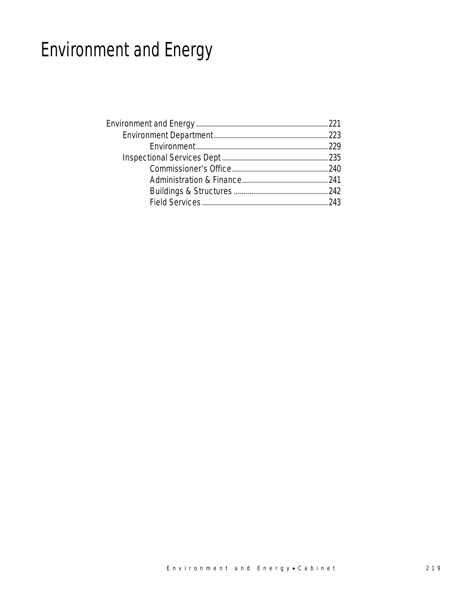# Environment and Energy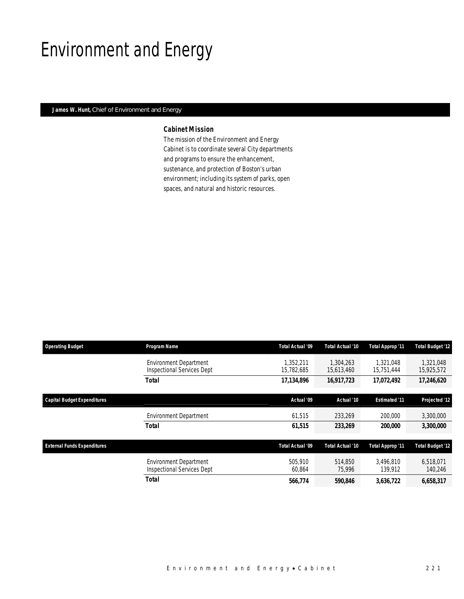## Environment and Energy

### *James W. Hunt, Chief of Environment and Energy*

### *Cabinet Mission*

The mission of the Environment and Energy Cabinet is to coordinate several City departments and programs to ensure the enhancement, sustenance, and protection of Boston's urban environment; including its system of parks, open spaces, and natural and historic resources.

| <b>Operating Budget</b>            | Program Name                                                       | Total Actual '09        | Total Actual '10        | Total Approp '11        | <b>Total Budget '12</b> |
|------------------------------------|--------------------------------------------------------------------|-------------------------|-------------------------|-------------------------|-------------------------|
|                                    | <b>Environment Department</b><br><b>Inspectional Services Dept</b> | 1,352,211<br>15,782,685 | 1.304.263<br>15,613,460 | 1,321,048<br>15,751,444 | 1,321,048<br>15,925,572 |
|                                    | <b>Total</b>                                                       | 17,134,896              | 16,917,723              | 17,072,492              | 17,246,620              |
| <b>Capital Budget Expenditures</b> |                                                                    | Actual '09              | Actual '10              | <b>Estimated '11</b>    | Projected '12           |
|                                    | <b>Environment Department</b>                                      | 61,515                  | 233,269                 | 200,000                 | 3,300,000               |
|                                    | <b>Total</b>                                                       | 61,515                  | 233,269                 | 200,000                 | 3,300,000               |
| <b>External Funds Expenditures</b> |                                                                    | <b>Total Actual '09</b> | Total Actual '10        | <b>Total Approp '11</b> | <b>Total Budget '12</b> |
|                                    | <b>Environment Department</b><br><b>Inspectional Services Dept</b> | 505.910<br>60,864       | 514,850<br>75,996       | 3.496.810<br>139.912    | 6.518.071<br>140,246    |
|                                    | Total                                                              | 566,774                 | 590,846                 | 3,636,722               | 6,658,317               |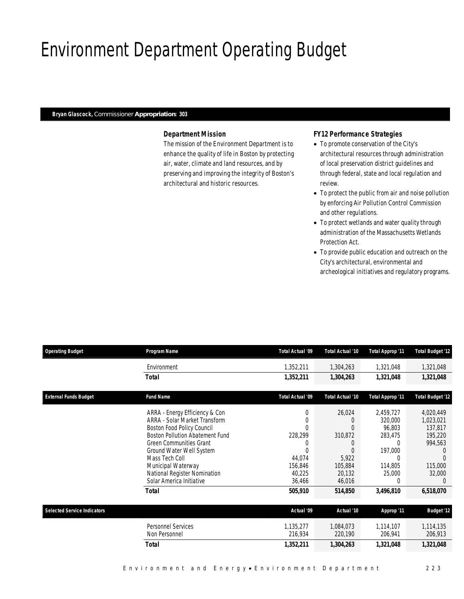## Environment Department Operating Budget

#### *Bryan Glascock, Commissioner Appropriation: 303*

### *Department Mission*

The mission of the Environment Department is to enhance the quality of life in Boston by protecting air, water, climate and land resources, and by preserving and improving the integrity of Boston's architectural and historic resources.

### *FY12 Performance Strategies*

- To promote conservation of the City's architectural resources through administration of local preservation district guidelines and through federal, state and local regulation and review.
- To protect the public from air and noise pollution by enforcing Air Pollution Control Commission and other regulations.
- To protect wetlands and water quality through administration of the Massachusetts Wetlands Protection Act.
- To provide public education and outreach on the City's architectural, environmental and archeological initiatives and regulatory programs.

| <b>Operating Budget</b>            | Program Name                           | <b>Total Actual '09</b> | Total Actual '10 | <b>Total Approp '11</b> | <b>Total Budget '12</b> |
|------------------------------------|----------------------------------------|-------------------------|------------------|-------------------------|-------------------------|
|                                    | Environment                            | 1,352,211               | 1,304,263        | 1,321,048               | 1,321,048               |
|                                    | <b>Total</b>                           | 1,352,211               | 1,304,263        | 1,321,048               | 1,321,048               |
| <b>External Funds Budget</b>       | <b>Fund Name</b>                       | <b>Total Actual '09</b> | Total Actual '10 | <b>Total Approp '11</b> | <b>Total Budget '12</b> |
|                                    | ARRA - Energy Efficiency & Con         | $\overline{0}$          | 26,024           | 2,459,727               | 4,020,449               |
|                                    | ARRA - Solar Market Transform          | $\Omega$                | $\left($         | 320,000                 | 1,023,021               |
|                                    | Boston Food Policy Council             | 0                       | $\Omega$         | 96.803                  | 137,817                 |
|                                    | <b>Boston Pollution Abatement Fund</b> | 228,299                 | 310,872          | 283,475                 | 195,220                 |
|                                    | <b>Green Communities Grant</b>         | ſ                       | $\left($         | U                       | 994,563                 |
|                                    | Ground Water Well System               | 0                       | $\Omega$         | 197,000                 |                         |
|                                    | Mass Tech Coll                         | 44,074                  | 5,922            | 0                       |                         |
|                                    | Municipal Waterway                     | 156,846                 | 105,884          | 114,805                 | 115,000                 |
|                                    | National Register Nomination           | 40,225                  | 20,132           | 25,000                  | 32,000                  |
|                                    | Solar America Initiative               | 36,466                  | 46,016           | 0                       | $\Omega$                |
|                                    | <b>Total</b>                           | 505,910                 | 514,850          | 3,496,810               | 6,518,070               |
| <b>Selected Service Indicators</b> |                                        | Actual '09              | Actual '10       | Approp '11              | <b>Budget '12</b>       |
|                                    | Personnel Services                     | 1,135,277               | 1,084,073        | 1,114,107               | 1,114,135               |
|                                    | Non Personnel                          | 216,934                 | 220,190          | 206,941                 | 206,913                 |
|                                    | <b>Total</b>                           | 1,352,211               | 1,304,263        | 1,321,048               | 1,321,048               |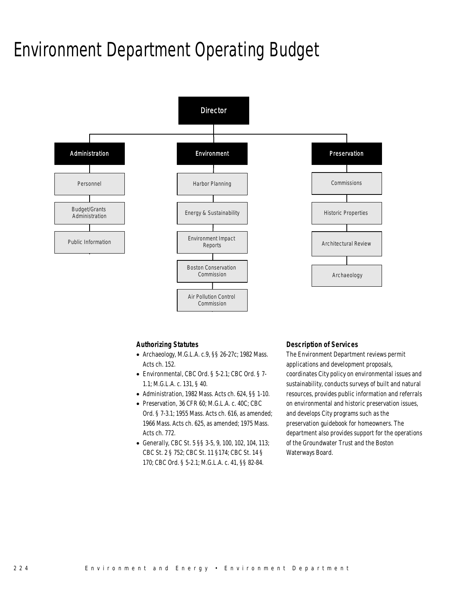## Environment Department Operating Budget



#### *Authorizing Statutes*

- Archaeology, M.G.L.A. c.9, §§ 26-27c; 1982 Mass. Acts ch. 152.
- Environmental, CBC Ord. § 5-2.1; CBC Ord. § 7- 1.1; M.G.L.A. c. 131, § 40.
- Administration, 1982 Mass. Acts ch. 624, §§ 1-10.
- Preservation, 36 CFR 60; M.G.L.A. c. 40C; CBC Ord. § 7-3.1; 1955 Mass. Acts ch. 616, as amended; 1966 Mass. Acts ch. 625, as amended; 1975 Mass. Acts ch. 772.
- Generally, CBC St. 5 §§ 3-5, 9, 100, 102, 104, 113; CBC St. 2 § 752; CBC St. 11 §174; CBC St. 14 § 170; CBC Ord. § 5-2.1; M.G.L.A. c. 41, §§ 82-84.

#### *Description of Services*

The Environment Department reviews permit applications and development proposals, coordinates City policy on environmental issues and sustainability, conducts surveys of built and natural resources, provides public information and referrals on environmental and historic preservation issues, and develops City programs such as the preservation guidebook for homeowners. The department also provides support for the operations of the Groundwater Trust and the Boston Waterways Board.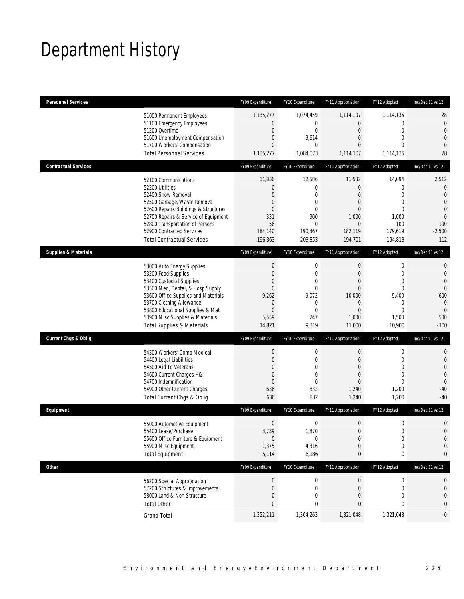# Department History

| <b>Personnel Services</b>       |                                                                                                                                                                                                                                                                                                      | FY09 Expenditure                                                                                                             | FY10 Expenditure                                                                           | FY11 Appropriation                                                                                                     | FY12 Adopted                                                                                                              | Inc/Dec 11 vs 12                                                                                        |
|---------------------------------|------------------------------------------------------------------------------------------------------------------------------------------------------------------------------------------------------------------------------------------------------------------------------------------------------|------------------------------------------------------------------------------------------------------------------------------|--------------------------------------------------------------------------------------------|------------------------------------------------------------------------------------------------------------------------|---------------------------------------------------------------------------------------------------------------------------|---------------------------------------------------------------------------------------------------------|
|                                 | 51000 Permanent Employees<br>51100 Emergency Employees<br>51200 Overtime<br>51600 Unemployment Compensation<br>51700 Workers' Compensation                                                                                                                                                           | 1,135,277<br>0<br>$\boldsymbol{0}$<br>$\overline{0}$<br>$\mathbf{0}$                                                         | 1,074,459<br>0<br>0<br>9,614<br>$\mathbf{0}$                                               | 1,114,107<br>0<br>$\mathbf 0$<br>0<br>0                                                                                | 1,114,135<br>$\mathbf 0$<br>$\mathbf 0$<br>$\mathbf{0}$<br>$\Omega$                                                       | 28<br>$\mathbf 0$<br>$\mathbf 0$<br>$\mathbf 0$<br>$\theta$                                             |
|                                 | <b>Total Personnel Services</b>                                                                                                                                                                                                                                                                      | 1,135,277                                                                                                                    | 1,084,073                                                                                  | 1,114,107                                                                                                              | 1,114,135                                                                                                                 | 28                                                                                                      |
| <b>Contractual Services</b>     |                                                                                                                                                                                                                                                                                                      | FY09 Expenditure                                                                                                             | FY10 Expenditure                                                                           | FY11 Appropriation                                                                                                     | FY12 Adopted                                                                                                              | Inc/Dec 11 vs 12                                                                                        |
|                                 | 52100 Communications<br>52200 Utilities<br>52400 Snow Removal<br>52500 Garbage/Waste Removal<br>52600 Repairs Buildings & Structures<br>52700 Repairs & Service of Equipment<br>52800 Transportation of Persons<br>52900 Contracted Services<br><b>Total Contractual Services</b>                    | 11,836<br>$\theta$<br>$\overline{0}$<br>0<br>$\mathbf 0$<br>331<br>56<br>184,140<br>196,363                                  | 12,586<br>0<br>$\Omega$<br>$\mathbf{0}$<br>0<br>900<br>0<br>190,367<br>203,853             | 11,582<br>$\mathbf 0$<br>0<br>0<br>0<br>1,000<br>$\bf 0$<br>182,119<br>194,701                                         | 14,094<br>$\mathbf 0$<br>$\overline{0}$<br>$\mathbf{0}$<br>$\mathbf{0}$<br>1,000<br>100<br>179,619<br>194,813             | 2,512<br>0<br>$\overline{0}$<br>$\overline{0}$<br>$\mathbf 0$<br>$\mathbf{0}$<br>100<br>$-2,500$<br>112 |
| <b>Supplies &amp; Materials</b> |                                                                                                                                                                                                                                                                                                      | FY09 Expenditure                                                                                                             | FY10 Expenditure                                                                           | FY11 Appropriation                                                                                                     | FY12 Adopted                                                                                                              | Inc/Dec 11 vs 12                                                                                        |
|                                 | 53000 Auto Energy Supplies<br>53200 Food Supplies<br>53400 Custodial Supplies<br>53500 Med, Dental, & Hosp Supply<br>53600 Office Supplies and Materials<br>53700 Clothing Allowance<br>53800 Educational Supplies & Mat<br>53900 Misc Supplies & Materials<br><b>Total Supplies &amp; Materials</b> | $\boldsymbol{0}$<br>$\boldsymbol{0}$<br>0<br>$\boldsymbol{0}$<br>9,262<br>$\mathbf 0$<br>$\boldsymbol{0}$<br>5,559<br>14,821 | $\boldsymbol{0}$<br>0<br>$\mathbf{0}$<br>0<br>9,072<br>0<br>$\overline{0}$<br>247<br>9,319 | $\boldsymbol{0}$<br>$\boldsymbol{0}$<br>0<br>$\mathbf 0$<br>10,000<br>$\mathbf 0$<br>$\overline{0}$<br>1,000<br>11,000 | $\boldsymbol{0}$<br>$\mathbf 0$<br>$\mathbf{0}$<br>$\mathbf 0$<br>9,400<br>$\mathbf 0$<br>$\mathbf{0}$<br>1,500<br>10,900 | 0<br>$\mathbf 0$<br>$\overline{0}$<br>$\overline{0}$<br>$-600$<br>$\theta$<br>$\theta$<br>500<br>$-100$ |
| <b>Current Chgs &amp; Oblig</b> |                                                                                                                                                                                                                                                                                                      | FY09 Expenditure                                                                                                             | FY10 Expenditure                                                                           | FY11 Appropriation                                                                                                     | FY12 Adopted                                                                                                              | Inc/Dec 11 vs 12                                                                                        |
|                                 | 54300 Workers' Comp Medical<br>54400 Legal Liabilities<br>54500 Aid To Veterans<br>54600 Current Charges H&I<br>54700 Indemnification<br>54900 Other Current Charges<br>Total Current Chgs & Oblig                                                                                                   | $\boldsymbol{0}$<br>$\boldsymbol{0}$<br>0<br>0<br>$\mathbf{0}$<br>636<br>636                                                 | $\boldsymbol{0}$<br>0<br>$\mathbf{0}$<br>$\overline{0}$<br>$\overline{0}$<br>832<br>832    | $\boldsymbol{0}$<br>$\mathbf 0$<br>0<br>$\mathbf 0$<br>$\overline{0}$<br>1,240<br>1,240                                | $\boldsymbol{0}$<br>$\mathbf 0$<br>$\mathbf{0}$<br>$\mathbf 0$<br>$\mathbf{0}$<br>1,200<br>1,200                          | 0<br>$\mathbf 0$<br>$\overline{0}$<br>$\mathbf 0$<br>$\mathbf 0$<br>$-40$<br>$-40$                      |
| Equipment                       |                                                                                                                                                                                                                                                                                                      | FY09 Expenditure                                                                                                             | FY10 Expenditure                                                                           | FY11 Appropriation                                                                                                     | FY12 Adopted                                                                                                              | Inc/Dec 11 vs 12                                                                                        |
|                                 | 55000 Automotive Equipment<br>55400 Lease/Purchase<br>55600 Office Furniture & Equipment<br>55900 Misc Equipment<br><b>Total Equipment</b>                                                                                                                                                           | $\boldsymbol{0}$<br>3,739<br>$\boldsymbol{0}$<br>1,375<br>5,114                                                              | 0<br>1,870<br>0<br>4,316<br>6,186                                                          | $\mathbf 0$<br>$\overline{0}$<br>$\boldsymbol{0}$<br>0<br>0                                                            | $\mathbf 0$<br>$\mathbf 0$<br>$\boldsymbol{0}$<br>$\mathbf 0$<br>0                                                        | 0<br>$\overline{0}$<br>$\mathbf 0$<br>0<br>0                                                            |
| <b>Other</b>                    |                                                                                                                                                                                                                                                                                                      | FY09 Expenditure                                                                                                             | FY10 Expenditure                                                                           | FY11 Appropriation                                                                                                     | FY12 Adopted                                                                                                              | Inc/Dec 11 vs 12                                                                                        |
|                                 | 56200 Special Appropriation<br>57200 Structures & Improvements<br>58000 Land & Non-Structure<br><b>Total Other</b>                                                                                                                                                                                   | $\boldsymbol{0}$<br>$\boldsymbol{0}$<br>$\boldsymbol{0}$<br>$\pmb{0}$                                                        | 0<br>0<br>0<br>0                                                                           | 0<br>$\mathbf 0$<br>0<br>0                                                                                             | 0<br>$\mathbf 0$<br>$\mathbf{0}$<br>0                                                                                     | 0<br>0<br>0<br>0                                                                                        |
|                                 | <b>Grand Total</b>                                                                                                                                                                                                                                                                                   | 1,352,211                                                                                                                    | 1,304,263                                                                                  | 1,321,048                                                                                                              | 1,321,048                                                                                                                 | $\overline{0}$                                                                                          |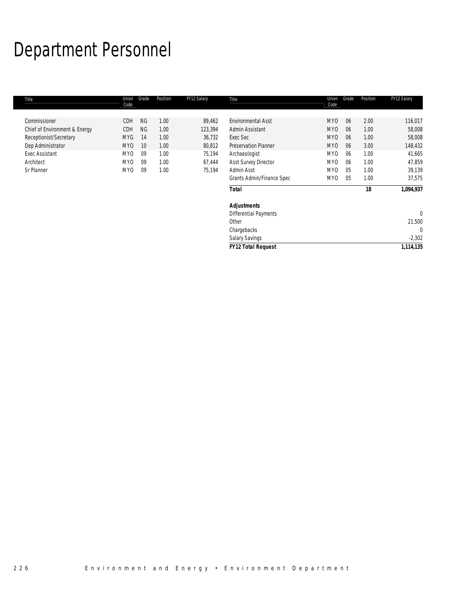# Department Personnel

| Title                         | Union<br>Code   | Grade     | Position | FY12 Salary | Title                        | Union<br>Code   | Grade | Position | FY12 Salary  |
|-------------------------------|-----------------|-----------|----------|-------------|------------------------------|-----------------|-------|----------|--------------|
| Commissioner                  | CDH             | <b>NG</b> | 1.00     | 89,462      | <b>Environmental Asst</b>    | <b>MYO</b>      | 06    | 2.00     | 116,017      |
| Chief of Environment & Energy | CDH             | <b>NG</b> | 1.00     | 123,394     | Admin Assistant              | <b>MYO</b>      | 06    | 1.00     | 58,008       |
| Receptionist/Secretary        | <b>MYG</b>      | 14        | 1.00     | 36,732      | Exec Sec                     | <b>MYO</b>      | 06    | 1.00     | 58,008       |
| Dep Administrator             | MY <sub>0</sub> | 10        | 1.00     | 80,812      | <b>Preservation Planner</b>  | MY <sub>0</sub> | 06    | 3.00     | 148,432      |
| <b>Exec Assistant</b>         | MY0             | 09        | 1.00     | 75,194      | Archaeologist                | <b>MYO</b>      | 06    | 1.00     | 41,665       |
| Architect                     | MY <sub>0</sub> | 09        | 1.00     | 67,444      | <b>Asst Survey Director</b>  | MY <sub>0</sub> | 06    | 1.00     | 47,859       |
| Sr Planner                    | MY <sub>0</sub> | 09        | 1.00     | 75,194      | Admin Asst                   | <b>MYO</b>      | 05    | 1.00     | 39,139       |
|                               |                 |           |          |             | Grants Admin/Finance Spec    | MY <sub>0</sub> | 05    | 1.00     | 37,575       |
|                               |                 |           |          |             | <b>Total</b>                 |                 |       | 18       | 1,094,937    |
|                               |                 |           |          |             | <b>Adjustments</b>           |                 |       |          |              |
|                               |                 |           |          |             | <b>Differential Payments</b> |                 |       |          | $\mathbf{0}$ |
|                               |                 |           |          |             | Other                        |                 |       |          | 21,500       |
|                               |                 |           |          |             | Chargebacks                  |                 |       |          | 0            |
|                               |                 |           |          |             | <b>Salary Savings</b>        |                 |       |          | $-2,302$     |
|                               |                 |           |          |             | <b>FY12 Total Request</b>    |                 |       |          | 1,114,135    |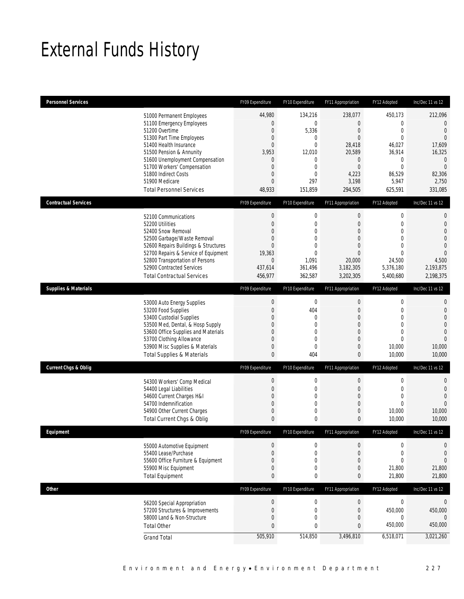## External Funds History

| <b>Personnel Services</b>       |                                                                                                                                                                                                                                                                                   | FY09 Expenditure                                                                                                   | FY10 Expenditure                                                                              | FY11 Appropriation                                                                                                   | FY12 Adopted                                                                                                                      | Inc/Dec 11 vs 12                                                                                                                |
|---------------------------------|-----------------------------------------------------------------------------------------------------------------------------------------------------------------------------------------------------------------------------------------------------------------------------------|--------------------------------------------------------------------------------------------------------------------|-----------------------------------------------------------------------------------------------|----------------------------------------------------------------------------------------------------------------------|-----------------------------------------------------------------------------------------------------------------------------------|---------------------------------------------------------------------------------------------------------------------------------|
|                                 | 51000 Permanent Employees<br>51100 Emergency Employees<br>51200 Overtime<br>51300 Part Time Employees<br>51400 Health Insurance<br>51500 Pension & Annunity<br>51600 Unemployment Compensation<br>51700 Workers' Compensation<br>51800 Indirect Costs<br>51900 Medicare           | 44,980<br>0<br>$\mathbf 0$<br>0<br>$\overline{0}$<br>3,953<br>$\overline{0}$<br>$\mathbf 0$<br>0<br>$\overline{0}$ | 134,216<br>$\overline{0}$<br>5,336<br>0<br>0<br>12,010<br>0<br>$\mathbf 0$<br>0<br>297        | 238,077<br>$\mathbf 0$<br>$\mathbf 0$<br>$\mathbf{0}$<br>28,418<br>20,589<br>0<br>$\boldsymbol{0}$<br>4,223<br>3,198 | 450,173<br>0<br>$\mathbf 0$<br>$\mathbf{0}$<br>46,027<br>36,914<br>0<br>$\mathbf{0}$<br>86,529<br>5,947                           | 212,096<br>$\mathbf{0}$<br>$\mathbf{0}$<br>$\overline{0}$<br>17,609<br>16,325<br>$\mathbf{0}$<br>$\Omega$<br>82,306<br>2,750    |
|                                 | <b>Total Personnel Services</b>                                                                                                                                                                                                                                                   | 48,933                                                                                                             | 151,859                                                                                       | 294,505                                                                                                              | 625,591                                                                                                                           | 331,085                                                                                                                         |
| <b>Contractual Services</b>     |                                                                                                                                                                                                                                                                                   | FY09 Expenditure                                                                                                   | FY10 Expenditure                                                                              | FY11 Appropriation                                                                                                   | FY12 Adopted                                                                                                                      | Inc/Dec 11 vs 12                                                                                                                |
|                                 | 52100 Communications<br>52200 Utilities<br>52400 Snow Removal<br>52500 Garbage/Waste Removal<br>52600 Repairs Buildings & Structures<br>52700 Repairs & Service of Equipment<br>52800 Transportation of Persons<br>52900 Contracted Services<br><b>Total Contractual Services</b> | $\boldsymbol{0}$<br>$\boldsymbol{0}$<br>0<br>0<br>0<br>19,363<br>$\theta$<br>437,614<br>456,977                    | 0<br>$\mathbf 0$<br>0<br>$\overline{0}$<br>$\overline{0}$<br>0<br>1,091<br>361,496<br>362,587 | $\boldsymbol{0}$<br>$\boldsymbol{0}$<br>0<br>$\overline{0}$<br>0<br>$\theta$<br>20.000<br>3,182,305<br>3,202,305     | $\boldsymbol{0}$<br>$\mathbf 0$<br>$\mathbf{0}$<br>$\overline{0}$<br>$\mathbf{0}$<br>$\Omega$<br>24,500<br>5,376,180<br>5,400,680 | $\mathbf{0}$<br>$\mathbf{0}$<br>$\overline{0}$<br>$\overline{0}$<br>$\mathbf{0}$<br>$\Omega$<br>4,500<br>2,193,875<br>2,198,375 |
| <b>Supplies &amp; Materials</b> |                                                                                                                                                                                                                                                                                   | FY09 Expenditure                                                                                                   | FY10 Expenditure                                                                              | FY11 Appropriation                                                                                                   | FY12 Adopted                                                                                                                      | Inc/Dec 11 vs 12                                                                                                                |
|                                 | 53000 Auto Energy Supplies<br>53200 Food Supplies<br>53400 Custodial Supplies<br>53500 Med, Dental, & Hosp Supply<br>53600 Office Supplies and Materials<br>53700 Clothing Allowance<br>53900 Misc Supplies & Materials<br><b>Total Supplies &amp; Materials</b>                  | $\theta$<br>$\boldsymbol{0}$<br>0<br>0<br>0<br>0<br>0<br>$\bf{0}$                                                  | $\mathbf 0$<br>404<br>0<br>0<br>0<br>0<br>0<br>404                                            | $\bf{0}$<br>$\boldsymbol{0}$<br>0<br>0<br>$\overline{0}$<br>0<br>0<br>0                                              | $\boldsymbol{0}$<br>$\mathbf 0$<br>$\mathbf{0}$<br>$\overline{0}$<br>$\mathbf{0}$<br>$\mathbf{0}$<br>10,000<br>10,000             | $\mathbf{0}$<br>$\mathbf{0}$<br>$\overline{0}$<br>$\overline{0}$<br>$\overline{0}$<br>$\Omega$<br>10,000<br>10,000              |
| <b>Current Chgs &amp; Oblig</b> |                                                                                                                                                                                                                                                                                   | FY09 Expenditure                                                                                                   | FY10 Expenditure                                                                              | FY11 Appropriation                                                                                                   | FY12 Adopted                                                                                                                      | Inc/Dec 11 vs 12                                                                                                                |
|                                 | 54300 Workers' Comp Medical<br>54400 Legal Liabilities<br>54600 Current Charges H&I<br>54700 Indemnification<br>54900 Other Current Charges<br>Total Current Chgs & Oblig                                                                                                         | $\boldsymbol{0}$<br>0<br>0<br>0<br>0<br>0                                                                          | 0<br>0<br>$\mathbf 0$<br>0<br>0<br>0                                                          | $\boldsymbol{0}$<br>0<br>$\overline{0}$<br>0<br>0<br>0                                                               | $\mathbf 0$<br>$\mathbf 0$<br>$\mathbf{0}$<br>$\mathbf{0}$<br>10,000<br>10,000                                                    | 0<br>$\mathbf{0}$<br>$\overline{0}$<br>$\overline{0}$<br>10,000<br>10,000                                                       |
| Eauipment                       |                                                                                                                                                                                                                                                                                   | FY09 Expenditure                                                                                                   | FY10 Expenditure                                                                              | <b>FY11 Appropriation</b>                                                                                            | FY12 Adopted                                                                                                                      | Inc/Dec 11 vs 12                                                                                                                |
|                                 | 55000 Automotive Equipment<br>55400 Lease/Purchase<br>55600 Office Furniture & Equipment<br>55900 Misc Equipment<br><b>Total Equipment</b>                                                                                                                                        | $\boldsymbol{0}$<br>$\mathbf 0$<br>0<br>0<br>0                                                                     | $\mathbf 0$<br>0<br>0<br>$\mathbf 0$<br>0                                                     | $\mathbf 0$<br>$\mathbf 0$<br>0<br>0<br>0                                                                            | $\mathbf 0$<br>$\mathbf 0$<br>$\mathbf{0}$<br>21,800<br>21,800                                                                    | 0<br>$\mathbf{0}$<br>$\overline{0}$<br>21,800<br>21,800                                                                         |
| <b>Other</b>                    |                                                                                                                                                                                                                                                                                   | FY09 Expenditure                                                                                                   | FY10 Expenditure                                                                              | FY11 Appropriation                                                                                                   | FY12 Adopted                                                                                                                      | Inc/Dec 11 vs 12                                                                                                                |
|                                 | 56200 Special Appropriation<br>57200 Structures & Improvements<br>58000 Land & Non-Structure<br><b>Total Other</b><br><b>Grand Total</b>                                                                                                                                          | $\boldsymbol{0}$<br>$\boldsymbol{0}$<br>0<br>0<br>505,910                                                          | $\boldsymbol{0}$<br>$\boldsymbol{0}$<br>$\mathbf 0$<br>0<br>514,850                           | $\boldsymbol{0}$<br>$\mathbf 0$<br>$\boldsymbol{0}$<br>0<br>3,496,810                                                | $\pmb{0}$<br>450,000<br>0<br>450,000<br>6,518,071                                                                                 | 0<br>450,000<br>$\Omega$<br>450,000<br>3,021,260                                                                                |
|                                 |                                                                                                                                                                                                                                                                                   |                                                                                                                    |                                                                                               |                                                                                                                      |                                                                                                                                   |                                                                                                                                 |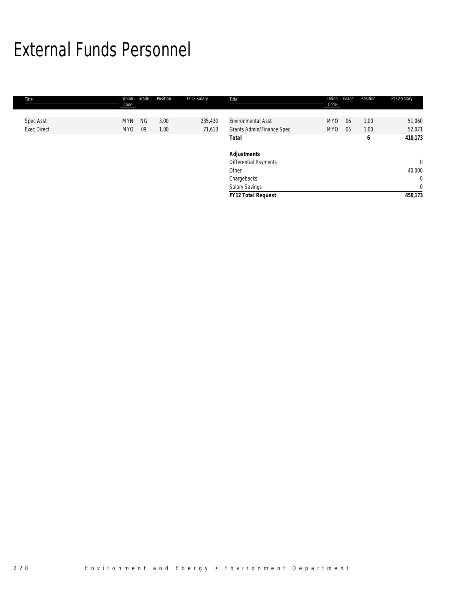## External Funds Personnel

| Title              | Union<br>Code   | Grade     | Position | FY12 Salary | Title                            | Union<br>Code   | Grade | Position | FY12 Salary    |
|--------------------|-----------------|-----------|----------|-------------|----------------------------------|-----------------|-------|----------|----------------|
|                    |                 |           |          |             |                                  |                 |       |          |                |
| Spec Asst          | <b>MYN</b>      | <b>NG</b> | 3.00     | 235,430     | <b>Environmental Asst</b>        | MY <sub>0</sub> | 06    | 1.00     | 51,060         |
| <b>Exec Direct</b> | MY <sub>0</sub> | 09        | 1.00     | 71,613      | <b>Grants Admin/Finance Spec</b> | <b>MYO</b>      | 05    | 1.00     | 52,071         |
|                    |                 |           |          |             | <b>Total</b>                     |                 |       | 6        | 410,173        |
|                    |                 |           |          |             | <b>Adjustments</b>               |                 |       |          |                |
|                    |                 |           |          |             | <b>Differential Payments</b>     |                 |       |          | $\mathbf{0}$   |
|                    |                 |           |          |             | Other                            |                 |       |          | 40,000         |
|                    |                 |           |          |             | Chargebacks                      |                 |       |          | $\mathbf{0}$   |
|                    |                 |           |          |             | Salary Savings                   |                 |       |          | $\overline{0}$ |
|                    |                 |           |          |             | <b>FY12 Total Request</b>        |                 |       |          | 450,173        |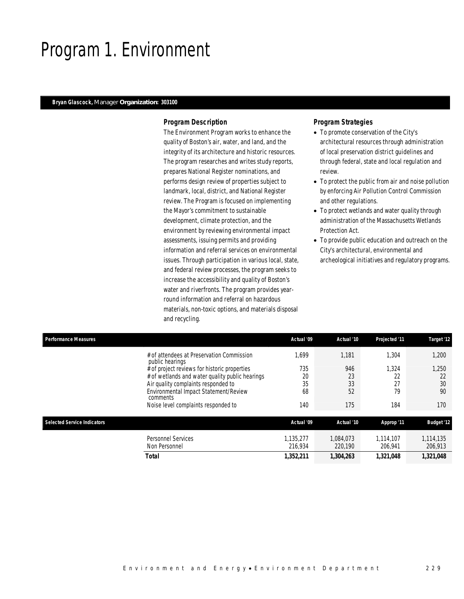## Program 1. Environment

#### *Bryan Glascock, Manager Organization: 303100*

#### *Program Description*

The Environment Program works to enhance the quality of Boston's air, water, and land, and the integrity of its architecture and historic resources. The program researches and writes study reports, prepares National Register nominations, and performs design review of properties subject to landmark, local, district, and National Register review. The Program is focused on implementing the Mayor's commitment to sustainable development, climate protection, and the environment by reviewing environmental impact assessments, issuing permits and providing information and referral services on environmental issues. Through participation in various local, state, and federal review processes, the program seeks to increase the accessibility and quality of Boston's water and riverfronts. The program provides yearround information and referral on hazardous materials, non-toxic options, and materials disposal and recycling.

- To promote conservation of the City's architectural resources through administration of local preservation district guidelines and through federal, state and local regulation and review.
- To protect the public from air and noise pollution by enforcing Air Pollution Control Commission and other regulations.
- To protect wetlands and water quality through administration of the Massachusetts Wetlands Protection Act.
- To provide public education and outreach on the City's architectural, environmental and archeological initiatives and regulatory programs.

| <b>Performance Measures</b>        |                                                              | Actual '09           | Actual '10           | Projected '11        | Target '12           |
|------------------------------------|--------------------------------------------------------------|----------------------|----------------------|----------------------|----------------------|
|                                    | # of attendees at Preservation Commission<br>public hearings | 1,699                | 1,181                | 1.304                | 1,200                |
|                                    | # of project reviews for historic properties                 | 735                  | 946                  | 1,324                | 1,250                |
|                                    | # of wetlands and water quality public hearings              | 20                   | 23                   | 22                   | 22                   |
|                                    | Air quality complaints responded to                          | 35                   | 33                   | 27                   | 30                   |
|                                    | Environmental Impact Statement/Review<br>comments            | 68                   | 52                   | 79                   | 90                   |
|                                    | Noise level complaints responded to                          | 140                  | 175                  | 184                  | 170                  |
| <b>Selected Service Indicators</b> |                                                              | Actual '09           | Actual '10           | Approp '11           | <b>Budget '12</b>    |
|                                    | <b>Personnel Services</b><br>Non Personnel                   | 1.135.277<br>216.934 | 1.084.073<br>220,190 | 1.114.107<br>206,941 | 1,114,135<br>206,913 |
|                                    | <b>Total</b>                                                 | 1,352,211            | 1,304,263            | 1,321,048            | 1,321,048            |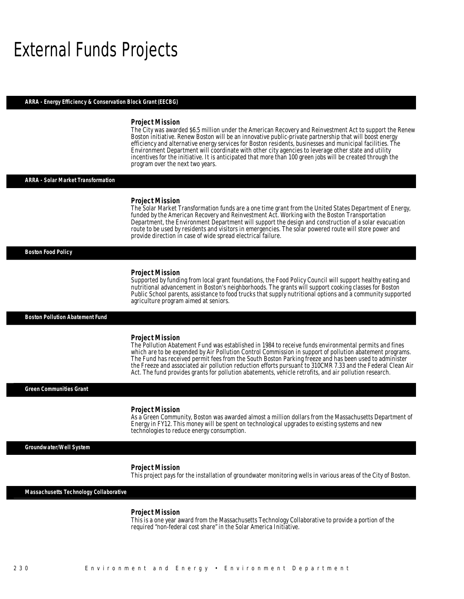### External Funds Projects

#### *ARRA - Energy Efficiency & Conservation Block Grant (EECBG)*

#### *Project Mission*

The City was awarded \$6.5 million under the American Recovery and Reinvestment Act to support the Renew Boston initiative. Renew Boston will be an innovative public-private partnership that will boost energy efficiency and alternative energy services for Boston residents, businesses and municipal facilities. The Environment Department will coordinate with other city agencies to leverage other state and utility incentives for the initiative. It is anticipated that more than 100 green jobs will be created through the program over the next two years.

#### *ARRA - Solar Market Transformation*

#### *Project Mission*

Î

The Solar Market Transformation funds are a one time grant from the United States Department of Energy, funded by the American Recovery and Reinvestment Act. Working with the Boston Transportation Department, the Environment Department will support the design and construction of a solar evacuation route to be used by residents and visitors in emergencies. The solar powered route will store power and provide direction in case of wide spread electrical failure. Î

#### *Boston Food Policy*

#### *Project Mission*

Supported by funding from local grant foundations, the Food Policy Council will support healthy eating and nutritional advancement in Boston's neighborhoods. The grants will support cooking classes for Boston Public School parents, assistance to food trucks that supply nutritional options and a community supported agriculture program aimed at seniors.

#### *Boston Pollution Abatement Fund*

#### *Project Mission*

The Pollution Abatement Fund was established in 1984 to receive funds environmental permits and fines which are to be expended by Air Pollution Control Commission in support of pollution abatement programs. The Fund has received permit fees from the South Boston Parking freeze and has been used to administer the Freeze and associated air pollution reduction efforts pursuant to 310CMR 7.33 and the Federal Clean Air Act. The fund provides grants for pollution abatements, vehicle retrofits, and air pollution research.

#### *Green Communities Grant*

#### *Project Mission*

As a Green Community, Boston was awarded almost a million dollars from the Massachusetts Department of Energy in FY12. This money will be spent on technological upgrades to existing systems and new technologies to reduce energy consumption.

*Groundwater/Well System* 

#### *Project Mission*

This project pays for the installation of groundwater monitoring wells in various areas of the City of Boston.

*Massachusetts Technology Collaborative* 

#### *Project Mission*

This is a one year award from the Massachusetts Technology Collaborative to provide a portion of the required "non-federal cost share" in the Solar America Initiative.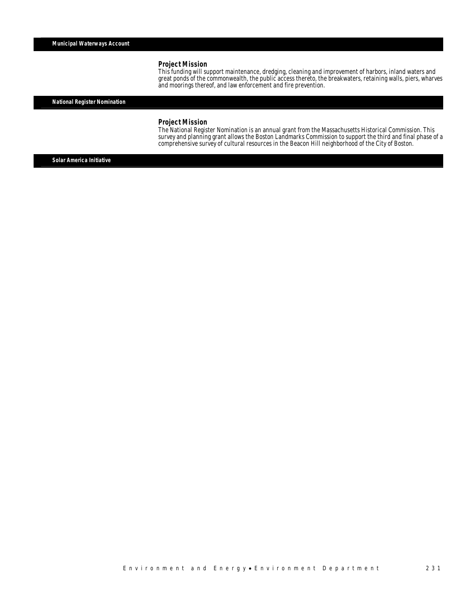### *Project Mission*

This funding will support maintenance, dredging, cleaning and improvement of harbors, inland waters and great ponds of the commonwealth, the public access thereto, the breakwaters, retaining walls, piers, wharves and moorings thereof, and law enforcement and fire prevention.

*National Register Nomination* 

#### *Project Mission*

The National Register Nomination is an annual grant from the Massachusetts Historical Commission. This survey and planning grant allows the Boston Landmarks Commission to support the third and final phase of a comprehensive survey of cultural resources in the Beacon Hill neighborhood of the City of Boston.

*Solar America Initiative*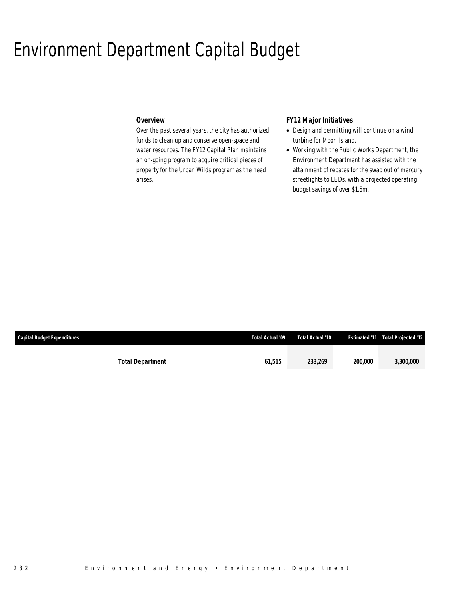### Environment Department Capital Budget

### *Overview*

Over the past several years, the city has authorized funds to clean up and conserve open-space and water resources. The FY12 Capital Plan maintains an on-going program to acquire critical pieces of property for the Urban Wilds program as the need arises.

### *FY12 Major Initiatives*

- Design and permitting will continue on a wind turbine for Moon Island.
- Working with the Public Works Department, the Environment Department has assisted with the attainment of rebates for the swap out of mercury streetlights to LEDs, with a projected operating budget savings of over \$1.5m.

| <b>Capital Budget Expenditures</b> |                         | Total Actual '09 | Total Actual '10 |                       | <b>Estimated '11 Total Projected '12</b> |
|------------------------------------|-------------------------|------------------|------------------|-----------------------|------------------------------------------|
|                                    |                         |                  |                  |                       |                                          |
|                                    | <b>Total Department</b> | 61.515           | 233.269          | <i><b>200.000</b></i> | <i>3.300.000</i>                         |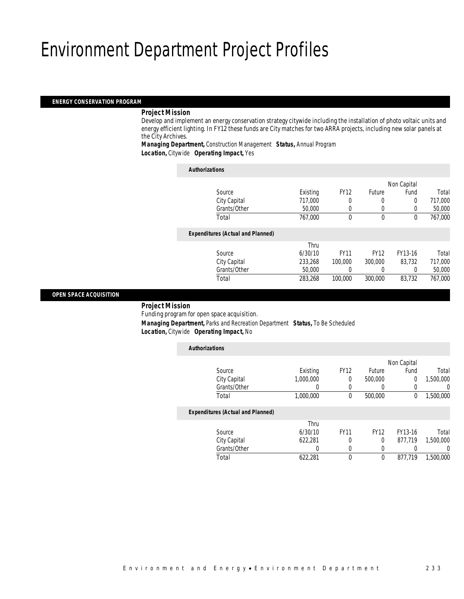## Environment Department Project Profiles

### *ENERGY CONSERVATION PROGRAM*

#### *Project Mission*

Develop and implement an energy conservation strategy citywide including the installation of photo voltaic units and energy efficient lighting. In FY12 these funds are City matches for two ARRA projects, including new solar panels at the City Archives.

*Managing Department,* Construction Management *Status,* Annual Program

*Location,* Citywide *Operating Impact,* Yes

| <b>Authorizations</b>                    |          |             |             |             |         |
|------------------------------------------|----------|-------------|-------------|-------------|---------|
|                                          |          |             |             | Non Capital |         |
| Source                                   | Existing | <b>FY12</b> | Future      | Fund        | Total   |
| City Capital                             | 717,000  | 0           | 0           | $\Omega$    | 717,000 |
| Grants/Other                             | 50,000   | 0           | 0           | 0           | 50,000  |
| Total                                    | 767,000  | $\theta$    | $\theta$    | $\theta$    | 767,000 |
| <b>Expenditures (Actual and Planned)</b> |          |             |             |             |         |
|                                          | Thru     |             |             |             |         |
| Source                                   | 6/30/10  | <b>FY11</b> | <b>FY12</b> | FY13-16     | Total   |
| City Capital                             | 233,268  | 100,000     | 300,000     | 83.732      | 717,000 |
| Grants/Other                             | 50,000   |             | 0           | $\Omega$    | 50,000  |
| Total                                    | 283,268  | 100,000     | 300,000     | 83.732      | 767,000 |

#### *OPEN SPACE ACQUISITION*

*Project Mission* 

Funding program for open space acquisition.

 *Managing Department,* Parks and Recreation Department *Status,* To Be Scheduled *Location,* Citywide *Operating Impact,* No

| $\boldsymbol{\omega}$ and $\boldsymbol{\eta}$ are $\boldsymbol{\omega}$ and $\boldsymbol{\omega}$ and $\boldsymbol{\eta}$ and $\boldsymbol{\eta}$ are $\boldsymbol{\eta}$ |  |
|---------------------------------------------------------------------------------------------------------------------------------------------------------------------------|--|
|                                                                                                                                                                           |  |

| <b>Authorizations</b> |                                          |           |             |             |                |                |
|-----------------------|------------------------------------------|-----------|-------------|-------------|----------------|----------------|
|                       |                                          |           |             |             | Non Capital    |                |
|                       | Source                                   | Existing  | <b>FY12</b> | Future      | Fund           | Total          |
|                       | City Capital                             | 1.000.000 | 0           | 500,000     | $\overline{0}$ | 1,500,000      |
|                       | Grants/Other                             | 0         | 0           | 0           |                | $\overline{0}$ |
|                       | Total                                    | 1,000,000 | 0           | 500,000     | 0              | 1,500,000      |
|                       | <b>Expenditures (Actual and Planned)</b> |           |             |             |                |                |
|                       |                                          | Thru      |             |             |                |                |
|                       | Source                                   | 6/30/10   | <b>FY11</b> | <b>FY12</b> | FY13-16        | Total          |
|                       | City Capital                             | 622.281   | 0           | 0           | 877.719        | 1.500.000      |
|                       | Grants/Other                             | 0         | 0           | 0           |                | $\left($       |
|                       | Total                                    | 622,281   | $\Omega$    | $\mathbf 0$ | 877.719        | 1.500.000      |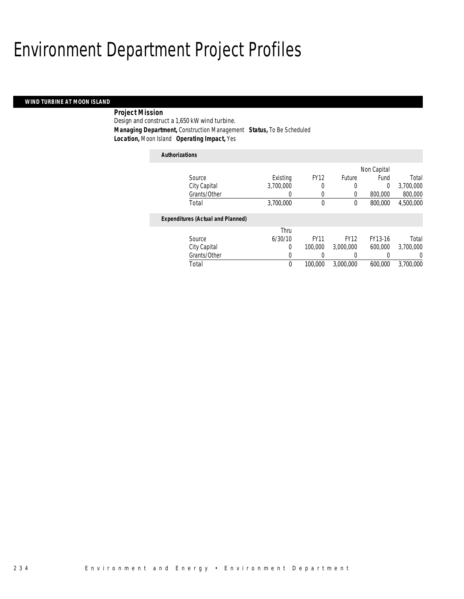## Environment Department Project Profiles

### *WIND TURBINE AT MOON ISLAND*

### *Project Mission*

Design and construct a 1,650 kW wind turbine. *Managing Department,* Construction Management *Status,* To Be Scheduled *Location,* Moon Island *Operating Impact,* Yes

### *Authorizations*

|                                          |           |             |             | Non Capital |           |
|------------------------------------------|-----------|-------------|-------------|-------------|-----------|
| Source                                   | Existing  | <b>FY12</b> | Future      | Fund        | Total     |
| City Capital                             | 3,700,000 | 0           | 0           | 0           | 3,700,000 |
| Grants/Other                             | 0         | 0           | 0           | 800,000     | 800,000   |
| Total                                    | 3,700,000 | 0           | 0           | 800,000     | 4,500,000 |
| <b>Expenditures (Actual and Planned)</b> |           |             |             |             |           |
|                                          | Thru      |             |             |             |           |
| Source                                   | 6/30/10   | <b>FY11</b> | <b>FY12</b> | FY13-16     | Total     |
| City Capital                             | 0         | 100,000     | 3,000,000   | 600,000     | 3.700.000 |
| Grants/Other                             | 0         |             | 0           |             | $\Omega$  |
| Total                                    | 0         | 100,000     | 3,000,000   | 600.000     | 3,700,000 |
|                                          |           |             |             |             |           |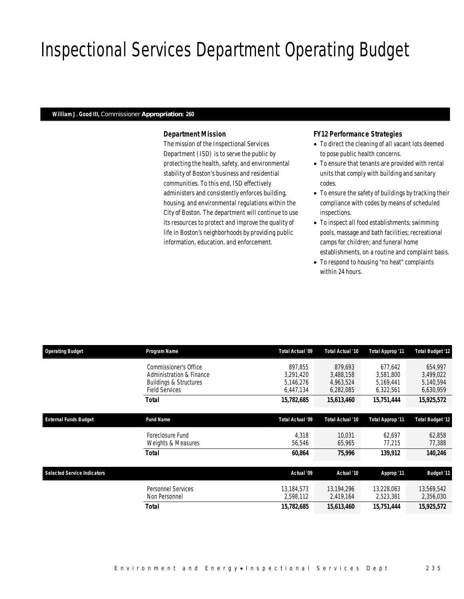# Inspectional Services Department Operating Budget

#### *William J. Good III, Commissioner Appropriation: 260*

### *Department Mission*

The mission of the Inspectional Services Department (ISD) is to serve the public by protecting the health, safety, and environmental stability of Boston's business and residential communities. To this end, ISD effectively administers and consistently enforces building, housing, and environmental regulations within the City of Boston. The department will continue to use its resources to protect and improve the quality of life in Boston's neighborhoods by providing public information, education, and enforcement.

#### *FY12 Performance Strategies*

- To direct the cleaning of all vacant lots deemed to pose public health concerns.
- To ensure that tenants are provided with rental units that comply with building and sanitary codes.
- To ensure the safety of buildings by tracking their compliance with codes by means of scheduled inspections.
- To inspect all food establishments; swimming pools, massage and bath facilities; recreational camps for children; and funeral home
- establishments, on a routine and complaint basis.
- To respond to housing "no heat" complaints within 24 hours.

| <b>Operating Budget</b>            | Program Name                                                                                                    | Total Actual '09                               | Total Actual '10                               | Total Approp '11                               | <b>Total Budget '12</b>                        |
|------------------------------------|-----------------------------------------------------------------------------------------------------------------|------------------------------------------------|------------------------------------------------|------------------------------------------------|------------------------------------------------|
|                                    | Commissioner's Office<br>Administration & Finance<br><b>Buildings &amp; Structures</b><br><b>Field Services</b> | 897.855<br>3,291,420<br>5,146,276<br>6,447,134 | 879.693<br>3,488,158<br>4,963,524<br>6,282,085 | 677.642<br>3.581.800<br>5,169,441<br>6,322,561 | 654.997<br>3,499,022<br>5,140,594<br>6,630,959 |
|                                    | Total                                                                                                           | 15,782,685                                     | 15,613,460                                     | 15,751,444                                     | 15,925,572                                     |
| <b>External Funds Budget</b>       | <b>Fund Name</b>                                                                                                | Total Actual '09                               | Total Actual '10                               | Total Approp '11                               | <b>Total Budget '12</b>                        |
|                                    | Foreclosure Fund<br>Weights & Measures                                                                          | 4,318<br>56,546                                | 10,031<br>65,965                               | 62,697<br>77,215                               | 62,858<br>77,388                               |
|                                    | Total                                                                                                           | 60,864                                         | 75,996                                         | 139,912                                        | 140,246                                        |
| <b>Selected Service Indicators</b> |                                                                                                                 | Actual '09                                     | Actual '10                                     | Approp '11                                     | <b>Budget '12</b>                              |
|                                    | <b>Personnel Services</b><br>Non Personnel                                                                      | 13,184,573<br>2,598,112                        | 13,194,296<br>2,419,164                        | 13,228,063<br>2,523,381                        | 13,569,542<br>2,356,030                        |
|                                    | Total                                                                                                           | 15,782,685                                     | 15,613,460                                     | 15,751,444                                     | 15,925,572                                     |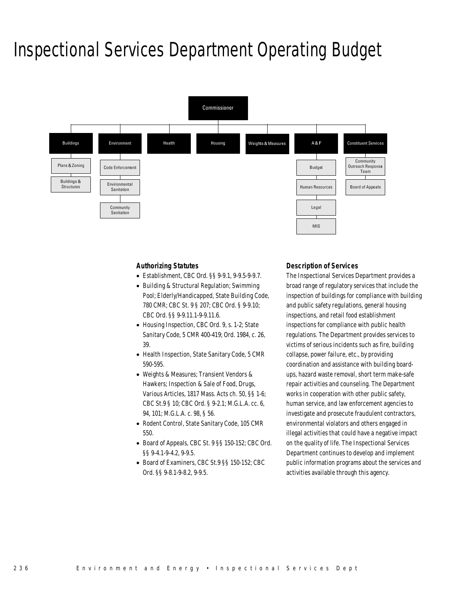## Inspectional Services Department Operating Budget



#### *Authorizing Statutes*

- Establishment, CBC Ord. §§ 9-9.1, 9-9.5-9-9.7.
- Building & Structural Regulation; Swimming Pool; Elderly/Handicapped, State Building Code, 780 CMR; CBC St. 9 § 207; CBC Ord. § 9-9.10; CBC Ord. §§ 9-9.11.1-9-9.11.6.
- Housing Inspection, CBC Ord. 9, s. 1-2; State Sanitary Code, 5 CMR 400-419; Ord. 1984, c. 26, 39.
- Health Inspection, State Sanitary Code, 5 CMR 590-595.
- Weights & Measures; Transient Vendors & Hawkers; Inspection & Sale of Food, Drugs, Various Articles, 1817 Mass. Acts ch. 50, §§ 1-6; CBC St.9 § 10; CBC Ord. § 9-2.1; M.G.L.A. cc. 6, 94, 101; M.G.L.A. c. 98, § 56.
- Rodent Control, State Sanitary Code, 105 CMR 550.
- Board of Appeals, CBC St. 9 §§ 150-152; CBC Ord. §§ 9-4.1-9-4.2, 9-9.5.
- Board of Examiners, CBC St.9 §§ 150-152; CBC Ord. §§ 9-8.1-9-8.2, 9-9.5.

#### *Description of Services*

The Inspectional Services Department provides a broad range of regulatory services that include the inspection of buildings for compliance with building and public safety regulations, general housing inspections, and retail food establishment inspections for compliance with public health regulations. The Department provides services to victims of serious incidents such as fire, building collapse, power failure, etc., by providing coordination and assistance with building boardups, hazard waste removal, short term make-safe repair activities and counseling. The Department works in cooperation with other public safety, human service, and law enforcement agencies to investigate and prosecute fraudulent contractors, environmental violators and others engaged in illegal activities that could have a negative impact on the quality of life. The Inspectional Services Department continues to develop and implement public information programs about the services and activities available through this agency.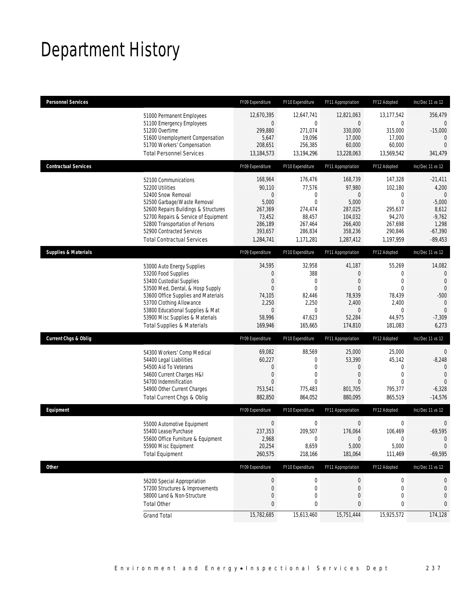## Department History

| <b>Personnel Services</b>             | FY09 Expenditure | FY10 Expenditure | FY11 Appropriation | FY12 Adopted     | Inc/Dec 11 vs 12 |
|---------------------------------------|------------------|------------------|--------------------|------------------|------------------|
| 51000 Permanent Employees             | 12,670,395       | 12,647,741       | 12,821,063         | 13,177,542       | 356,479          |
| 51100 Emergency Employees             | $\overline{0}$   | 0                | $\overline{0}$     | $\mathbf 0$      | 0                |
| 51200 Overtime                        | 299,880          | 271,074          | 330,000            | 315,000          | $-15,000$        |
| 51600 Unemployment Compensation       | 5,647            | 19,096           | 17,000             | 17,000           | $\mathbf{0}$     |
| 51700 Workers' Compensation           | 208,651          | 256,385          | 60,000             | 60,000           | $\Omega$         |
| <b>Total Personnel Services</b>       | 13,184,573       | 13,194,296       | 13,228,063         | 13,569,542       | 341,479          |
| <b>Contractual Services</b>           | FY09 Expenditure | FY10 Expenditure | FY11 Appropriation | FY12 Adopted     | Inc/Dec 11 vs 12 |
| 52100 Communications                  | 168,964          | 176,476          | 168,739            | 147,328          | $-21,411$        |
| 52200 Utilities                       | 90,110           | 77,576           | 97,980             | 102,180          | 4,200            |
| 52400 Snow Removal                    | $\overline{0}$   | 0                | $\theta$           | $\mathbf 0$      | 0                |
| 52500 Garbage/Waste Removal           | 5,000            | $\overline{0}$   | 5,000              | $\mathbf 0$      | $-5,000$         |
| 52600 Repairs Buildings & Structures  | 267,369          | 274,474          | 287,025            | 295,637          | 8,612            |
| 52700 Repairs & Service of Equipment  | 73,452           | 88,457           | 104,032            | 94,270           | $-9,762$         |
| 52800 Transportation of Persons       | 286,189          | 267,464          | 266,400            | 267,698          | 1,298            |
| 52900 Contracted Services             | 393,657          | 286,834          | 358,236            | 290,846          | $-67,390$        |
| <b>Total Contractual Services</b>     | 1,284,741        | 1,171,281        | 1,287,412          | 1,197,959        | $-89,453$        |
| <b>Supplies &amp; Materials</b>       | FY09 Expenditure | FY10 Expenditure | FY11 Appropriation | FY12 Adopted     | Inc/Dec 11 vs 12 |
| 53000 Auto Energy Supplies            | 34,595           | 32,958           | 41,187             | 55,269           | 14,082           |
| 53200 Food Supplies                   | 0                | 388              | $\theta$           | 0                | $\theta$         |
| 53400 Custodial Supplies              | $\mathbf 0$      | $\mathbf{0}$     | $\theta$           | $\overline{0}$   | $\theta$         |
| 53500 Med, Dental, & Hosp Supply      | $\mathbf{0}$     | $\overline{0}$   | $\overline{0}$     | $\mathbf{0}$     | $\theta$         |
| 53600 Office Supplies and Materials   | 74,105           | 82,446           | 78,939             | 78,439           | $-500$           |
| 53700 Clothing Allowance              | 2,250            | 2,250            | 2,400              | 2,400            | $\mathbf{0}$     |
| 53800 Educational Supplies & Mat      | 0                | $\overline{0}$   | $\theta$           | 0                | $\theta$         |
| 53900 Misc Supplies & Materials       | 58,996           | 47,623           | 52,284             | 44,975           | $-7,309$         |
| <b>Total Supplies &amp; Materials</b> | 169,946          | 165,665          | 174,810            | 181,083          | 6,273            |
| <b>Current Chgs &amp; Oblig</b>       | FY09 Expenditure | FY10 Expenditure | FY11 Appropriation | FY12 Adopted     | Inc/Dec 11 vs 12 |
| 54300 Workers' Comp Medical           | 69,082           | 88,569           | 25,000             | 25,000           | $\overline{0}$   |
| 54400 Legal Liabilities               | 60,227           | $\mathbf{0}$     | 53,390             | 45,142           | $-8,248$         |
| 54500 Aid To Veterans                 | 0                | 0                | $\theta$           | $\mathbf{0}$     | 0                |
| 54600 Current Charges H&I             | $\mathbf 0$      | 0                | $\theta$           | $\mathbf{0}$     | $\Omega$         |
| 54700 Indemnification                 | $\mathbf{0}$     | $\Omega$         | $\theta$           | $\theta$         | $\Omega$         |
| 54900 Other Current Charges           | 753,541          | 775,483          | 801,705            | 795,377          | $-6,328$         |
| Total Current Chgs & Oblig            | 882,850          | 864,052          | 880,095            | 865,519          | $-14,576$        |
| Equipment                             | FY09 Expenditure | FY10 Expenditure | FY11 Appropriation | FY12 Adopted     | Inc/Dec 11 vs 12 |
| 55000 Automotive Equipment            | $\mathbf 0$      | $\boldsymbol{0}$ | $\boldsymbol{0}$   | $\boldsymbol{0}$ | 0                |
| 55400 Lease/Purchase                  | 237,353          | 209,507          | 176,064            | 106,469          | $-69,595$        |
| 55600 Office Furniture & Equipment    | 2,968            | $\mathbf 0$      | $\mathbf 0$        | $\boldsymbol{0}$ | $\overline{0}$   |
| 55900 Misc Equipment                  | 20,254           | 8,659            | 5,000              | 5,000            | $\mathbf 0$      |
| <b>Total Equipment</b>                | 260,575          | 218,166          | 181,064            | 111,469          | $-69,595$        |
| <b>Other</b>                          | FY09 Expenditure | FY10 Expenditure | FY11 Appropriation | FY12 Adopted     | Inc/Dec 11 vs 12 |
| 56200 Special Appropriation           | 0                | $\boldsymbol{0}$ | $\theta$           | 0                | 0                |
| 57200 Structures & Improvements       | 0                | $\mathbf 0$      | $\theta$           | $\mathbf 0$      | 0                |
| 58000 Land & Non-Structure            | 0                | 0                | $\theta$           | $\mathbf 0$      | 0                |
| <b>Total Other</b>                    | 0                | 0                | $\bf{0}$           | 0                | 0                |
| <b>Grand Total</b>                    | 15,782,685       | 15,613,460       | 15,751,444         | 15,925,572       | 174,128          |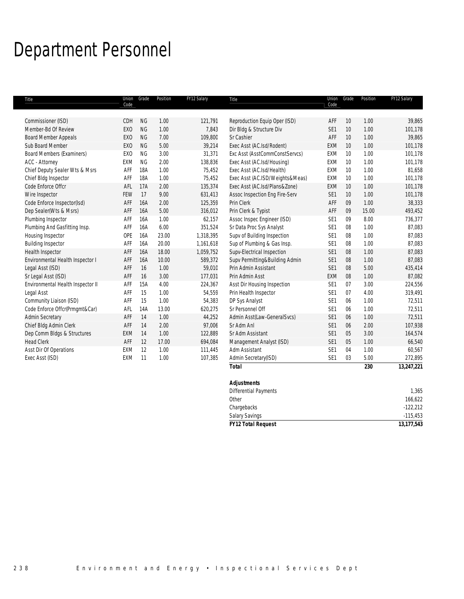## Department Personnel

| Title                             | Union<br>Code   | Grade     | Position | FY12 Salary | Title                           | Union<br>Code   | Grade | Position | FY12 Salary |
|-----------------------------------|-----------------|-----------|----------|-------------|---------------------------------|-----------------|-------|----------|-------------|
|                                   |                 |           |          |             |                                 |                 |       |          |             |
| Commissioner (ISD)                | CDH             | <b>NG</b> | 1.00     | 121,791     | Reproduction Equip Oper (ISD)   | AFF             | 10    | 1.00     | 39,865      |
| Member-Bd Of Review               | <b>EXO</b>      | <b>NG</b> | 1.00     | 7,843       | Dir Bldg & Structure Div        | SE <sub>1</sub> | 10    | 1.00     | 101,178     |
| <b>Board Member Appeals</b>       | <b>EXO</b>      | <b>NG</b> | 7.00     | 109,800     | Sr Cashier                      | AFF             | 10    | 1.00     | 39,865      |
| Sub Board Member                  | EX <sub>0</sub> | <b>NG</b> | 5.00     | 39,214      | Exec Asst (AC.Isd/Rodent)       | EXM             | 10    | 1.00     | 101,178     |
| <b>Board Members (Examiners)</b>  | <b>EXO</b>      | <b>NG</b> | 3.00     | 31,371      | Exc Asst (AsstCommConstServcs)  | EXM             | 10    | 1.00     | 101,178     |
| ACC - Attorney                    | EXM             | <b>NG</b> | 2.00     | 138,836     | Exec Asst (AC.Isd/Housing)      | EXM             | 10    | 1.00     | 101,178     |
| Chief Deputy Sealer Wts & Msrs    | AFF             | 18A       | 1.00     | 75,452      | Exec Asst (AC.Isd/Health)       | EXM             | 10    | 1.00     | 81,658      |
| Chief Bldg Inspector              | AFF             | 18A       | 1.00     | 75,452      | Exec Asst (AC.ISD/Weights&Meas) | <b>EXM</b>      | 10    | 1.00     | 101,178     |
| Code Enforce Offcr                | AFL             | 17A       | 2.00     | 135,374     | Exec Asst (AC.Isd/Plans&Zone)   | EXM             | 10    | 1.00     | 101,178     |
| Wire Inspector                    | <b>FEW</b>      | 17        | 9.00     | 631,413     | Assoc Inspection Eng Fire-Serv  | SE <sub>1</sub> | 10    | 1.00     | 101,178     |
| Code Enforce Inspector(Isd)       | AFF             | 16A       | 2.00     | 125,359     | Prin Clerk                      | AFF             | 09    | 1.00     | 38,333      |
| Dep Sealer(Wts & Msrs)            | AFF             | 16A       | 5.00     | 316,012     | Prin Clerk & Typist             | AFF             | 09    | 15.00    | 493,452     |
| Plumbing Inspector                | AFF             | 16A       | 1.00     | 62,157      | Assoc Inspec Engineer (ISD)     | SE <sub>1</sub> | 09    | 8.00     | 736,377     |
| Plumbing And Gasfitting Insp.     | AFF             | 16A       | 6.00     | 351,524     | Sr Data Proc Sys Analyst        | SE <sub>1</sub> | 08    | 1.00     | 87,083      |
| Housing Inspector                 | OPE             | 16A       | 23.00    | 1,318,395   | Supv of Building Inspection     | SE <sub>1</sub> | 08    | 1.00     | 87,083      |
| <b>Building Inspector</b>         | AFF             | 16A       | 20.00    | 1,161,618   | Sup of Plumbing & Gas Insp.     | SE <sub>1</sub> | 08    | 1.00     | 87,083      |
| Health Inspector                  | AFF             | 16A       | 18.00    | 1,059,752   | Supv-Electrical Inspection      | SE <sub>1</sub> | 08    | 1.00     | 87,083      |
| Environmental Health Inspector I  | AFF             | 16A       | 10.00    | 589,372     | Supv Permitting&Building Admin  | SE <sub>1</sub> | 08    | 1.00     | 87,083      |
| Legal Asst (ISD)                  | AFF             | 16        | 1.00     | 59,010      | Prin Admin Assistant            | SE <sub>1</sub> | 08    | 5.00     | 435,414     |
| Sr Legal Asst (ISD)               | AFF             | 16        | 3.00     | 177,031     | Prin Admin Asst                 | EXM             | 08    | 1.00     | 87,082      |
| Environmental Health Inspector II | AFF             | 15A       | 4.00     | 224,367     | Asst Dir Housing Inspection     | SE <sub>1</sub> | 07    | 3.00     | 224,556     |
| Legal Asst                        | AFF             | 15        | 1.00     | 54,559      | Prin Health Inspector           | SE <sub>1</sub> | 07    | 4.00     | 319,491     |
| Community Liaison (ISD)           | AFF             | 15        | 1.00     | 54,383      | DP Sys Analyst                  | SE <sub>1</sub> | 06    | 1.00     | 72,511      |
| Code Enforce Offcr(Prmgmt&Car)    | AFL             | 14A       | 13.00    | 620,275     | Sr Personnel Off                | SE <sub>1</sub> | 06    | 1.00     | 72,511      |
| Admin Secretary                   | AFF             | 14        | 1.00     | 44,252      | Admin Asst(Law-GeneralSvcs)     | SE <sub>1</sub> | 06    | 1.00     | 72,511      |
| Chief Bldg Admin Clerk            | AFF             | 14        | 2.00     | 97,006      | Sr Adm Anl                      | SE <sub>1</sub> | 06    | 2.00     | 107,938     |
| Dep Comm Bldgs & Structures       | EXM             | 14        | 1.00     | 122,889     | Sr Adm Assistant                | SE <sub>1</sub> | 05    | 3.00     | 164,574     |
| <b>Head Clerk</b>                 | AFF             | 12        | 17.00    | 694,084     | Management Analyst (ISD)        | SE <sub>1</sub> | 05    | 1.00     | 66,540      |
| Asst Dir Of Operations            | EXM             | 12        | 1.00     | 111,445     | Adm Assistant                   | SE <sub>1</sub> | 04    | 1.00     | 60,567      |
| Exec Asst (ISD)                   | EXM             | 11        | 1.00     | 107,385     | Admin Secretary(ISD)            | SE <sub>1</sub> | 03    | 5.00     | 272,895     |
|                                   |                 |           |          |             | <b>Total</b>                    |                 |       | 230      | 13,247,221  |
|                                   |                 |           |          |             | <b>Adjustments</b>              |                 |       |          |             |

| <b>Salary Savings</b>        | $-115,453$ |
|------------------------------|------------|
| Chargebacks                  | $-122,212$ |
| Other                        | 166,622    |
| <b>Differential Payments</b> | 1,365      |
| <b>Adjustments</b>           |            |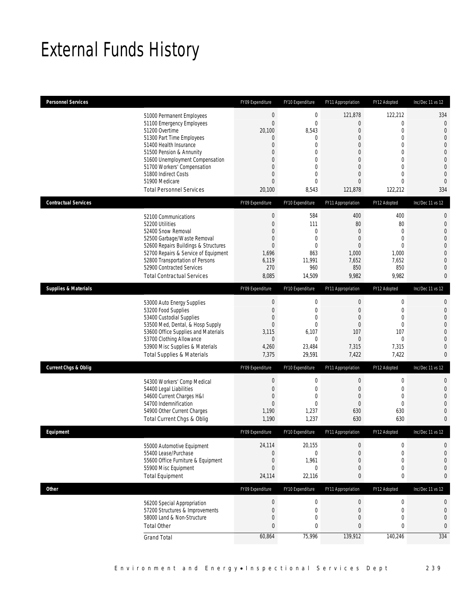## External Funds History

| Personnel Services              |                                                                                                                                                                                                                                                                                                            | FY09 Expenditure                                                                                                                                     | FY10 Expenditure                                                                                           | FY11 Appropriation                                                                                                             | FY12 Adopted                                                                                                                                           | Inc/Dec 11 vs 12                                                                                                                                                       |
|---------------------------------|------------------------------------------------------------------------------------------------------------------------------------------------------------------------------------------------------------------------------------------------------------------------------------------------------------|------------------------------------------------------------------------------------------------------------------------------------------------------|------------------------------------------------------------------------------------------------------------|--------------------------------------------------------------------------------------------------------------------------------|--------------------------------------------------------------------------------------------------------------------------------------------------------|------------------------------------------------------------------------------------------------------------------------------------------------------------------------|
|                                 | 51000 Permanent Employees<br>51100 Emergency Employees<br>51200 Overtime<br>51300 Part Time Employees<br>51400 Health Insurance<br>51500 Pension & Annunity<br>51600 Unemployment Compensation<br>51700 Workers' Compensation<br>51800 Indirect Costs<br>51900 Medicare<br><b>Total Personnel Services</b> | $\mathbf{0}$<br>$\overline{0}$<br>20,100<br>0<br>$\mathbf{0}$<br>0<br>$\overline{0}$<br>$\overline{0}$<br>$\overline{0}$<br>$\overline{0}$<br>20,100 | $\mathbf 0$<br>$\mathbf{0}$<br>8,543<br>0<br>0<br>0<br>0<br>$\overline{0}$<br>0<br>$\overline{0}$<br>8,543 | 121,878<br>$\boldsymbol{0}$<br>$\boldsymbol{0}$<br>0<br>0<br>$\mathbf 0$<br>0<br>$\mathbf 0$<br>0<br>$\overline{0}$<br>121,878 | 122,212<br>$\mathbf{0}$<br>$\mathbf 0$<br>$\mathbf 0$<br>$\Omega$<br>$\mathbf 0$<br>$\Omega$<br>$\mathbf{0}$<br>$\mathbf 0$<br>$\mathbf{0}$<br>122,212 | 334<br>$\mathbf{0}$<br>$\overline{0}$<br>$\overline{0}$<br>$\overline{0}$<br>$\overline{0}$<br>$\mathbf{0}$<br>$\overline{0}$<br>$\overline{0}$<br>$\mathbf{0}$<br>334 |
| <b>Contractual Services</b>     |                                                                                                                                                                                                                                                                                                            | FY09 Expenditure                                                                                                                                     | FY10 Expenditure                                                                                           | FY11 Appropriation                                                                                                             | FY12 Adopted                                                                                                                                           | Inc/Dec 11 vs 12                                                                                                                                                       |
|                                 | 52100 Communications<br>52200 Utilities<br>52400 Snow Removal<br>52500 Garbage/Waste Removal<br>52600 Repairs Buildings & Structures<br>52700 Repairs & Service of Equipment<br>52800 Transportation of Persons<br>52900 Contracted Services<br><b>Total Contractual Services</b>                          | $\boldsymbol{0}$<br>$\overline{0}$<br>$\overline{0}$<br>$\mathbf{0}$<br>$\mathbf{0}$<br>1,696<br>6,119<br>270<br>8,085                               | 584<br>111<br>$\mathbf{0}$<br>$\mathbf 0$<br>$\mathbf 0$<br>863<br>11,991<br>960<br>14,509                 | 400<br>80<br>$\theta$<br>$\mathbf{0}$<br>$\overline{0}$<br>1,000<br>7,652<br>850<br>9,982                                      | 400<br>80<br>$\mathbf 0$<br>$\mathbf{0}$<br>$\mathbf 0$<br>1,000<br>7,652<br>850<br>9,982                                                              | $\mathbf{0}$<br>$\mathbf{0}$<br>$\overline{0}$<br>$\overline{0}$<br>$\mathbf{0}$<br>$\overline{0}$<br>$\overline{0}$<br>$\theta$<br>$\mathbf 0$                        |
| <b>Supplies &amp; Materials</b> |                                                                                                                                                                                                                                                                                                            | FY09 Expenditure                                                                                                                                     | FY10 Expenditure                                                                                           | FY11 Appropriation                                                                                                             | FY12 Adopted                                                                                                                                           | Inc/Dec 11 vs 12                                                                                                                                                       |
|                                 | 53000 Auto Energy Supplies<br>53200 Food Supplies<br>53400 Custodial Supplies<br>53500 Med, Dental, & Hosp Supply<br>53600 Office Supplies and Materials<br>53700 Clothing Allowance<br>53900 Misc Supplies & Materials<br><b>Total Supplies &amp; Materials</b>                                           | $\boldsymbol{0}$<br>$\mathbf{0}$<br>$\mathbf{0}$<br>$\mathbf{0}$<br>3,115<br>$\mathbf{0}$<br>4,260<br>7,375                                          | $\mathbf 0$<br>$\mathbf 0$<br>0<br>$\overline{0}$<br>6,107<br>$\mathbf 0$<br>23,484<br>29,591              | $\boldsymbol{0}$<br>$\boldsymbol{0}$<br>0<br>$\mathbf 0$<br>107<br>$\boldsymbol{0}$<br>7,315<br>7,422                          | $\mathbf 0$<br>0<br>$\mathbf{0}$<br>$\mathbf{0}$<br>107<br>$\mathbf{0}$<br>7,315<br>7,422                                                              | $\mathbf{0}$<br>$\mathbf{0}$<br>$\overline{0}$<br>$\overline{0}$<br>$\overline{0}$<br>$\Omega$<br>$\overline{0}$<br>$\mathbf{0}$                                       |
| <b>Current Chgs &amp; Oblig</b> |                                                                                                                                                                                                                                                                                                            | FY09 Expenditure                                                                                                                                     | FY10 Expenditure                                                                                           | FY11 Appropriation                                                                                                             | FY12 Adopted                                                                                                                                           | Inc/Dec 11 vs 12                                                                                                                                                       |
|                                 | 54300 Workers' Comp Medical<br>54400 Legal Liabilities<br>54600 Current Charges H&I<br>54700 Indemnification<br>54900 Other Current Charges<br>Total Current Chgs & Oblig                                                                                                                                  | $\mathbf{0}$<br>$\mathbf{0}$<br>$\mathbf{0}$<br>$\mathbf{0}$<br>1,190<br>1,190                                                                       | $\mathbf 0$<br>$\mathbf 0$<br>$\overline{0}$<br>$\theta$<br>1,237<br>1,237                                 | $\boldsymbol{0}$<br>$\boldsymbol{0}$<br>$\mathbf 0$<br>$\mathbf{0}$<br>630<br>630                                              | 0<br>0<br>0<br>$\mathbf{0}$<br>630<br>630                                                                                                              | $\theta$<br>$\mathbf{0}$<br>$\overline{0}$<br>$\bigcap$<br>$\bigcap$<br>$\mathbf{0}$                                                                                   |
| Eauipment                       |                                                                                                                                                                                                                                                                                                            | FY09 Expenditure                                                                                                                                     | FY10 Expenditure                                                                                           | FY11 Appropriation                                                                                                             | FY12 Adopted                                                                                                                                           | Inc/Dec 11 vs 12                                                                                                                                                       |
|                                 | 55000 Automotive Equipment<br>55400 Lease/Purchase<br>55600 Office Furniture & Equipment<br>55900 Misc Equipment<br><b>Total Equipment</b>                                                                                                                                                                 | 24,114<br>$\mathbf 0$<br>$\boldsymbol{0}$<br>$\mathbf 0$<br>24,114                                                                                   | 20,155<br>$\mathbf 0$<br>1,961<br>0<br>22,116                                                              | $\mathbf 0$<br>$\boldsymbol{0}$<br>$\mathbf 0$<br>$\mathbf 0$<br>0                                                             | $\mathbf{0}$<br>$\mathbf{0}$<br>$\mathbf 0$<br>0<br>0                                                                                                  | $\mathbf 0$<br>$\overline{0}$<br>$\overline{0}$<br>$\mathbf 0$<br>$\mathbf{0}$                                                                                         |
| <b>Other</b>                    |                                                                                                                                                                                                                                                                                                            | FY09 Expenditure                                                                                                                                     | FY10 Expenditure                                                                                           | FY11 Appropriation                                                                                                             | FY12 Adopted                                                                                                                                           | Inc/Dec 11 vs 12                                                                                                                                                       |
|                                 | 56200 Special Appropriation<br>57200 Structures & Improvements<br>58000 Land & Non-Structure<br><b>Total Other</b>                                                                                                                                                                                         | $\boldsymbol{0}$<br>$\mathbf{0}$<br>$\mathbf 0$<br>$\mathbf{0}$                                                                                      | $\boldsymbol{0}$<br>$\mathbf 0$<br>$\overline{0}$<br>0                                                     | $\boldsymbol{0}$<br>$\boldsymbol{0}$<br>$\mathbf 0$<br>$\bf{0}$                                                                | $\boldsymbol{0}$<br>$\mathbf 0$<br>$\mathbf{0}$<br>0                                                                                                   | $\mathbf{0}$<br>$\mathbf{0}$<br>$\boldsymbol{0}$<br>$\mathbf{0}$                                                                                                       |
|                                 | <b>Grand Total</b>                                                                                                                                                                                                                                                                                         | 60,864                                                                                                                                               | 75,996                                                                                                     | 139,912                                                                                                                        | 140,246                                                                                                                                                | 334                                                                                                                                                                    |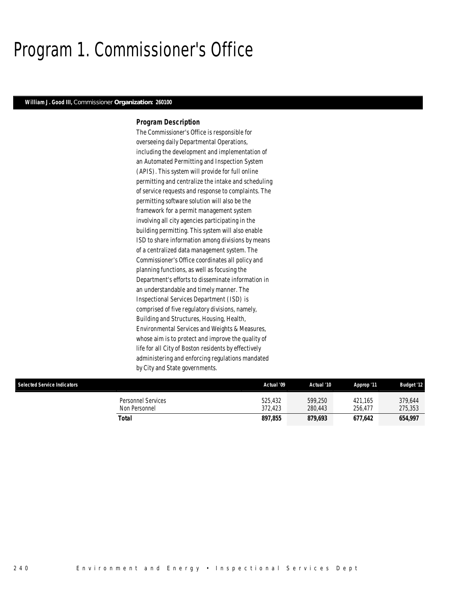## Program 1. Commissioner's Office

#### *William J. Good III, Commissioner Organization: 260100*

#### *Program Description*

The Commissioner's Office is responsible for overseeing daily Departmental Operations, including the development and implementation of an Automated Permitting and Inspection System (APIS). This system will provide for full online permitting and centralize the intake and scheduling of service requests and response to complaints. The permitting software solution will also be the framework for a permit management system involving all city agencies participating in the building permitting. This system will also enable ISD to share information among divisions by means of a centralized data management system. The Commissioner's Office coordinates all policy and planning functions, as well as focusing the Department's efforts to disseminate information in an understandable and timely manner. The Inspectional Services Department (ISD) is comprised of five regulatory divisions, namely, Building and Structures, Housing, Health, Environmental Services and Weights & Measures, whose aim is to protect and improve the quality of life for all City of Boston residents by effectively administering and enforcing regulations mandated by City and State governments.

| <b>Selected Service Indicators</b>  | Actual '09         | Actual '10         | Approp '11         | <b>Budget '12</b>  |
|-------------------------------------|--------------------|--------------------|--------------------|--------------------|
| Personnel Services<br>Non Personnel | 525.432<br>372.423 | 599.250<br>280.443 | 421.165<br>256.477 | 379.644<br>275,353 |
| Total                               | 897.855            | 879.693            | 677.642            | 654,997            |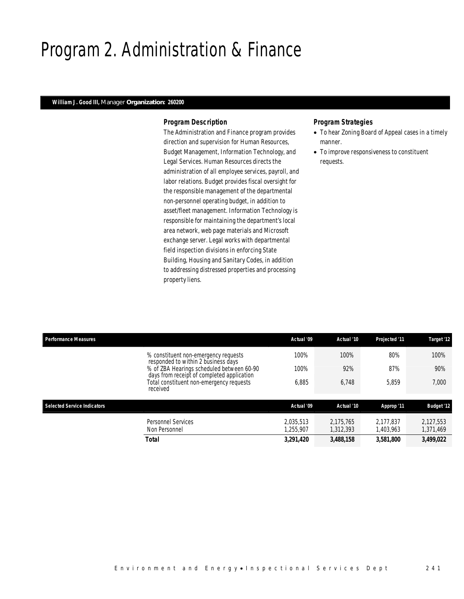## Program 2. Administration & Finance

#### *William J. Good III, Manager Organization: 260200*

#### *Program Description*

The Administration and Finance program provides direction and supervision for Human Resources, Budget Management, Information Technology, and Legal Services. Human Resources directs the administration of all employee services, payroll, and labor relations. Budget provides fiscal oversight for the responsible management of the departmental non-personnel operating budget, in addition to asset/fleet management. Information Technology is responsible for maintaining the department's local area network, web page materials and Microsoft exchange server. Legal works with departmental field inspection divisions in enforcing State Building, Housing and Sanitary Codes, in addition to addressing distressed properties and processing property liens.

- To hear Zoning Board of Appeal cases in a timely manner.
- To improve responsiveness to constituent requests.

| <b>Performance Measures</b> |                                                                                                                                                 | Actual '09             | Actual '10             | Projected '11          | Target '12             |
|-----------------------------|-------------------------------------------------------------------------------------------------------------------------------------------------|------------------------|------------------------|------------------------|------------------------|
|                             | % constituent non-emergency requests<br>responded to within 2 business days                                                                     | 100%                   | 100%                   | 80%                    | 100%                   |
|                             | % of ZBA Hearings scheduled between 60-90<br>days from receipt of completed application<br>Total constituent non-emergency requests<br>received | 100%                   | 92%                    | 87%                    | 90%                    |
|                             |                                                                                                                                                 | 6.885                  | 6.748                  | 5.859                  | 7,000                  |
| Selected Service Indicators |                                                                                                                                                 | Actual '09             | Actual '10             | Approp '11             | <b>Budget '12</b>      |
|                             | Personnel Services<br>Non Personnel                                                                                                             | 2.035.513<br>1,255,907 | 2.175.765<br>1.312.393 | 2.177.837<br>1.403.963 | 2.127.553<br>1,371,469 |
| <b>Total</b>                |                                                                                                                                                 | 3,291,420              | 3,488,158              | 3,581,800              | 3,499,022              |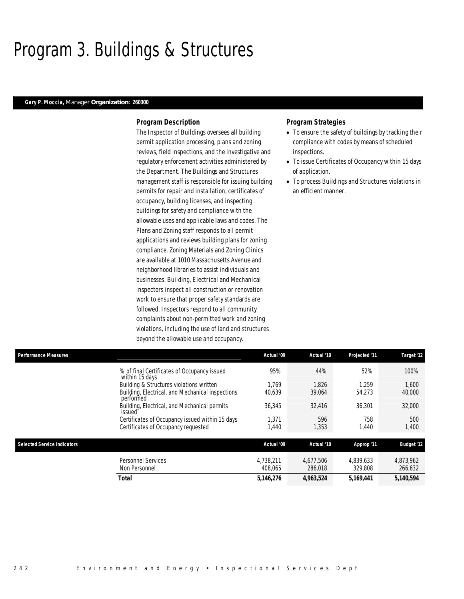## Program 3. Buildings & Structures

#### *Gary P. Moccia, Manager Organization: 260300*

#### *Program Description*

The Inspector of Buildings oversees all building permit application processing, plans and zoning reviews, field inspections, and the investigative and regulatory enforcement activities administered by the Department. The Buildings and Structures management staff is responsible for issuing building permits for repair and installation, certificates of occupancy, building licenses, and inspecting buildings for safety and compliance with the allowable uses and applicable laws and codes. The Plans and Zoning staff responds to all permit applications and reviews building plans for zoning compliance. Zoning Materials and Zoning Clinics are available at 1010 Massachusetts Avenue and neighborhood libraries to assist individuals and businesses. Building, Electrical and Mechanical inspectors inspect all construction or renovation work to ensure that proper safety standards are followed. Inspectors respond to all community complaints about non-permitted work and zoning violations, including the use of land and structures beyond the allowable use and occupancy.

- To ensure the safety of buildings by tracking their compliance with codes by means of scheduled inspections.
- To issue Certificates of Occupancy within 15 days of application.
- To process Buildings and Structures violations in an efficient manner.

| <b>Performance Measures</b> |                                                               | Actual '09 | Actual '10 | Projected '11 | Target '12        |
|-----------------------------|---------------------------------------------------------------|------------|------------|---------------|-------------------|
|                             | % of final Certificates of Occupancy issued<br>within 15 days | 95%        | 44%        | 52%           | 100%              |
|                             | Building & Structures violations written                      | 1.769      | 1,826      | 1.259         | 1,600             |
|                             | Building, Electrical, and Mechanical inspections<br>performed | 40,639     | 39,064     | 54,273        | 40,000            |
|                             | Building, Electrical, and Mechanical permits<br>issued        | 36,345     | 32,416     | 36,301        | 32,000            |
|                             | Certificates of Occupancy issued within 15 days               | 1.371      | 596        | 758           | 500               |
|                             | Certificates of Occupancy requested                           | 1.440      | 1,353      | 1,440         | 1,400             |
| Selected Service Indicators |                                                               | Actual '09 | Actual '10 | Approp '11    | <b>Budget '12</b> |
|                             | <b>Personnel Services</b>                                     | 4.738.211  | 4.677.506  | 4.839.633     | 4,873,962         |
|                             | Non Personnel                                                 | 408.065    | 286,018    | 329,808       | 266,632           |
|                             | <b>Total</b>                                                  | 5.146.276  | 4.963.524  | 5.169.441     | 5.140.594         |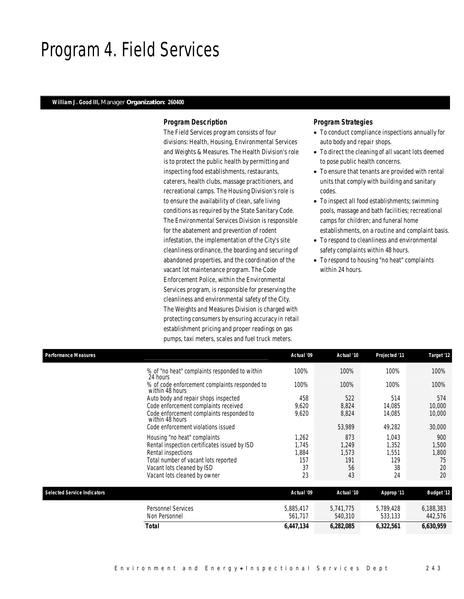### Program 4. Field Services

#### *William J. Good III, Manager Organization: 260400*

#### *Program Description*

The Field Services program consists of four divisions: Health, Housing, Environmental Services and Weights & Measures. The Health Division's role is to protect the public health by permitting and inspecting food establishments, restaurants, caterers, health clubs, massage practitioners, and recreational camps. The Housing Division's role is to ensure the availability of clean, safe living conditions as required by the State Sanitary Code. The Environmental Services Division is responsible for the abatement and prevention of rodent infestation, the implementation of the City's site cleanliness ordinance, the boarding and securing of abandoned properties, and the coordination of the vacant lot maintenance program. The Code Enforcement Police, within the Environmental Services program, is responsible for preserving the cleanliness and environmental safety of the City. The Weights and Measures Division is charged with protecting consumers by ensuring accuracy in retail establishment pricing and proper readings on gas pumps, taxi meters, scales and fuel truck meters.

- To conduct compliance inspections annually for auto body and repair shops.
- To direct the cleaning of all vacant lots deemed to pose public health concerns.
- To ensure that tenants are provided with rental units that comply with building and sanitary codes.
- To inspect all food establishments; swimming pools, massage and bath facilities; recreational camps for children; and funeral home establishments, on a routine and complaint basis.
- To respond to cleanliness and environmental safety complaints within 48 hours.
- To respond to housing "no heat" complaints within 24 hours.

| <b>Performance Measures</b>                                                                                                                                                                              | Actual '09                                 | Actual '10                               | Projected '11                              | Target '12                              |
|----------------------------------------------------------------------------------------------------------------------------------------------------------------------------------------------------------|--------------------------------------------|------------------------------------------|--------------------------------------------|-----------------------------------------|
| % of "no heat" complaints responded to within<br>24 hours                                                                                                                                                | 100%                                       | 100%                                     | 100%                                       | 100%                                    |
| % of code enforcement complaints responded to<br>within 48 hours                                                                                                                                         | 100%                                       | 100%                                     | 100%                                       | 100%                                    |
| Auto body and repair shops inspected                                                                                                                                                                     | 458                                        | 522                                      | 514                                        | 574                                     |
| Code enforcement complaints received                                                                                                                                                                     | 9,620                                      | 8,824                                    | 14.085                                     | 10,000                                  |
| Code enforcement complaints responded to<br>within 48 hours                                                                                                                                              | 9,620                                      | 8,824                                    | 14,085                                     | 10,000                                  |
| Code enforcement violations issued                                                                                                                                                                       |                                            | 53,989                                   | 49,282                                     | 30,000                                  |
| Housing "no heat" complaints<br>Rental inspection certificates issued by ISD<br>Rental inspections<br>Total number of vacant lots reported<br>Vacant lots cleaned by ISD<br>Vacant lots cleaned by owner | 1,262<br>1,745<br>1,884<br>157<br>37<br>23 | 873<br>1,249<br>1,573<br>191<br>56<br>43 | 1.043<br>1,352<br>1,551<br>129<br>38<br>24 | 900<br>1,500<br>1,800<br>75<br>20<br>20 |
| <b>Selected Service Indicators</b>                                                                                                                                                                       | Actual '09                                 | Actual '10                               | Approp '11                                 | <b>Budget '12</b>                       |
| <b>Personnel Services</b>                                                                                                                                                                                | 5,885,417                                  | 5,741,775                                | 5,789,428                                  | 6,188,383                               |
| Non Personnel                                                                                                                                                                                            | 561,717                                    | 540,310                                  | 533,133                                    | 442,576                                 |
| Total                                                                                                                                                                                                    | 6,447,134                                  | 6,282,085                                | 6,322,561                                  | 6,630,959                               |